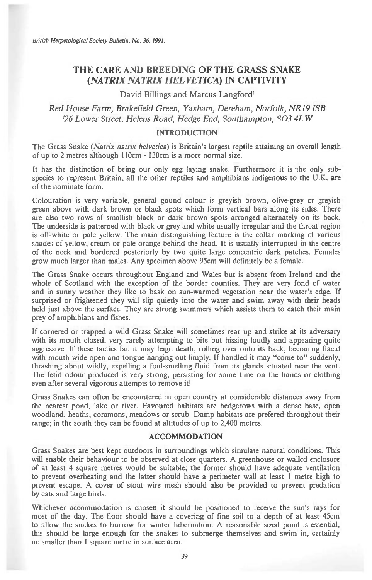*British Herpetological Society Bulletin, No. 36, 1991.* 

# **THE CARE AND BREEDING OF THE GRASS SNAKE**  *(NATRIX NATRLY HELVETICA)* **IN CAPTIVITY**

### David Billings and Marcus Langford'

*Red House Farm, Brakefield Green, Yaxham, Dereham, Norfolk, NR19 ISB <sup>1</sup>26 Lower Street, Helens Road, Hedge End, Southampton, S03 4LW* 

### INTRODUCTION

The Grass Snake *(Natrix natrix helvetica)* is Britain's largest reptile attaining an overall length of up to 2 metres although 110cm - 130cm is a more normal size.

It has the distinction of being our only egg laying snake. Furthermore it is the only subspecies to represent Britain, all the other reptiles and amphibians indigenous to the U.K. are of the nominate form.

Colouration is very variable, general gound colour is greyish brown, olive-grey or greyish green above with dark brown or black spots which form vertical bars along its sides. There are also two rows of smallish black or dark brown spots arranged alternately on its back. The underside is patterned with black or grey and white usually irregular and the throat region is off-white or pale yellow. The main distinguishing feature is the collar marking of various shades of yellow, cream or pale orange behind the head. It is usually interrupted in the centre of the neck and bordered posteriorly by two quite large concentric dark patches. Females grow much larger than males. Any specimen above 95cm will definitely be a female.

The Grass Snake occurs throughout England and Wales but is absent from Ireland and the whole of Scotland with the exception of the border counties. They are very fond of water and in sunny weather they like to bask on sun-warmed vegetation near the water's edge. If surprised or frightened they will slip quietly into the water and swim away with their heads held just above the surface. They are strong swimmers which assists them to catch their main prey of amphibians and fishes.

If cornered or trapped a wild Grass Snake will sometimes rear up and strike at its adversary with its mouth closed, very rarely attempting to bite but hissing loudly and appearing quite aggressive. If these tactics fail it may feign death, rolling over onto its back, becoming flacid with mouth wide open and tongue hanging out limply. If handled it may "come to" suddenly, thrashing about wildly, expelling a foul-smelling fluid from its glands situated near the vent. The fetid odour produced is very strong, persisting for some time on the hands or clothing even after several vigorous attempts to remove it!

Grass Snakes can often be encountered in open country at considerable distances away from the nearest pond, lake or river. Favoured habitats are hedgerows with a dense base, open woodland, heaths, commons, meadows or scrub. Damp habitats are prefered throughout their range; in the south they can be found at altitudes of up to 2,400 metres.

## **ACCOMMODATION**

Grass Snakes are best kept outdoors in surroundings which simulate natural conditions. This will enable their behaviour to be observed at close quarters. A greenhouse or walled enclosure of at least 4 square metres would be suitable; the former should have adequate ventilation to prevent overheating and the latter should have a perimeter wall at least 1 metre high to prevent escape. A cover of stout wire mesh should also be provided to prevent predation by cats and large birds.

Whichever accommodation is chosen it should be positioned to receive the sun's rays for most of the day. The floor should have a covering of fine soil to a depth of at least 45cm to allow the snakes to burrow for winter hibernation. A reasonable sized pond is essential, this should be large enough for the snakes to submerge themselves and swim in, certainly no smaller than 1 square metre in surface area.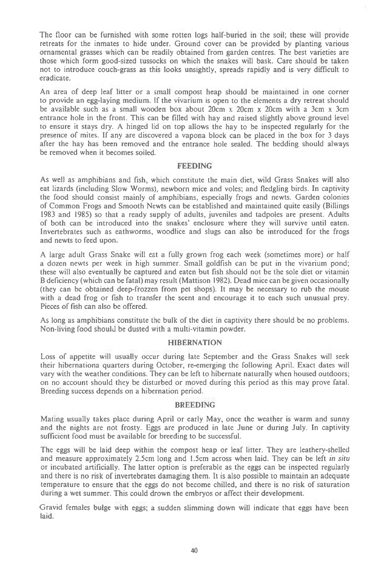The floor can be furnished with some rotten logs half-buried in the soil; these will provide retreats for the inmates to hide under. Ground cover can be provided by planting various ornamental grasses which can be readily obtained from garden centres. The best varieties are those which form good-sized tussocks on which the snakes will bask. Care should be taken not to introduce couch-grass as this looks unsightly, spreads rapidly and is very difficult to eradicate.

An area of deep leaf litter or a small compost heap should be maintained in one corner to provide an egg-laying medium. If the vivarium is open to the elements a dry retreat should be available such as a small wooden box about 20cm x 20cm x 20cm with a 3cm x 3cm entrance hole in the front. This can be filled with hay and raised slightly above ground level to ensure it stays dry. A hinged lid on top allows the hay to be inspected regularly for the presence of mites. If any are discovered a vapona block can be placed in the box for 3 days after the hay has been removed and the entrance hole sealed. The bedding should always be removed when it becomes soiled.

#### FEEDING

As well as amphibians and fish, which constitute the main diet, wild Grass Snakes will also eat lizards (including Slow Worms), newborn mice and voles; and fledgling birds. In captivity the food should consist mainly of amphibians, especially frogs and newts. Garden colonies of Common Frogs and Smooth Newts can be established and maintained quite easily (Billings 1983 and 1985) so that a ready supply of adults, juveniles and tadpoles are present. Adults of both can be introduced into the snakes' enclosure where they will survive until eaten. Invertebrates such as eathworms, woodlice and slugs can also be introduced for the frogs and newts to feed upon.

A large adult Grass Snake will eat a fully grown frog each week (sometimes more) or half a dozen newts per week in high summer. Small goldfish can be put in the vivarium pond; these will also eventually be captured and eaten but fish should not be the sole diet or vitamin B deficiency (which can be fatal) may result (Mattison 1982). Dead mice can be given occasionally (they can be obtained deep-frozzen from pet shops). It may be necessary to rub the mouse with a dead frog or fish to transfer the scent and encourage it to each such unusual prey. Pieces of fish can also be offered.

As long as amphibians constitute the bulk of the diet in captivity there should be no problems. Non-living food should be dusted with a multi-vitamin powder.

## **HIBERNATION**

Loss of appetite will usually occur during late September and the Grass Snakes will seek their hibernationa quarters during October, re-emerging the following April. Exact dates will vary with the weather conditions. They can be left to hibernate naturally when housed outdoors; on no account should they be disturbed or moved during this period as this may prove fatal. Breeding success depends on a hibernation period.

#### BREEDING

Mating usually takes place during April or early May, once the weather is warm and sunny and the nights arc not frosty. Eggs are produced in late June or during July. In captivity sufficient food must be available for breeding to be successful.

The eggs will be laid deep within the compost heap or leaf litter. They are leathery-shelled and measure approximately 2.5cm long and 1.5cm across when laid. They can be left *in situ*  or incubated artificially. The latter option is preferable as the eggs can be inspected regularly and there is no risk of invertebrates damaging them. It is also possible to maintain an adequate temperature to ensure that the eggs do not become chilled, and there is no risk of saturation during a wet summer. This could drown the embryos or affect their development.

Gravid females bulge with eggs; a sudden slimming down will indicate that eggs have been laid.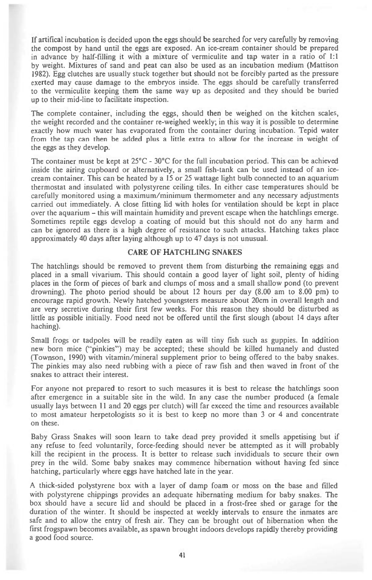If artifical incubation is decided upon the eggs should be searched for very carefully by removing the compost by hand until the eggs are exposed. An ice-cream container should be prepared in advance by half-filling it with a mixture of vermiculite and tap water in a ratio of 1:1 by weight. Mixtures of sand and peat can also be used as an incubation medium (Mattison 1982). Egg clutches are usually stuck together but should not be forcibly parted as the pressure exerted may cause damage to the embryos inside. The eggs should be carefully transferred to the vermiculite keeping them the same way up as deposited and they should be buried up to their mid-line to facilitate inspection.

The complete container, including the eggs, should then be weighed on the kitchen scales, the weight recorded and the container re-weighed weekly; in this way it is possible to determine exactly how much water has evaporated from the container during incubation. Tepid water from the tap can then be added plus a little extra to allow for the increase in weight of the eggs as they develop.

The container must be kept at  $25^{\circ}$ C -  $30^{\circ}$ C for the full incubation period. This can be achieved inside the airing cupboard or alternatively, a small fish-tank can be used instead of an icecream container. This can be heated by a 15 or 25 wattage light bulb connected to an aquarium thermostat and insulated with polystyrene ceiling tiles. In either case temperatures should be carefully monitored using a maximum/minimum thermometer and any necessary adjustments carried out immediately. A close fitting lid with holes for ventilation should be kept in place over the aquarium — this will maintain humidity and prevent escape when the hatchlings emerge. Sometimes reptile eggs develop a coating of mould but this should not do any harm and can be ignored as there is a high degree of resistance to such attacks. Hatching takes place approximately 40 days after laying although up to 47 days is not unusual.

### CARE OF HATCHLING SNAKES

The hatchlings should be removed to prevent them from disturbing the remaining eggs and placed in a small vivarium. This should contain a good layer of light soil, plenty of hiding places in the form of pieces of bark and clumps of moss and a small shallow pond (to prevent drowning). The photo period should be about 12 hours per day (8.00 am to 8.00 pm) to encourage rapid growth. Newly hatched youngsters measure about 20cm in overall length and are very secretive during their first few weeks. For this reason they should be disturbed as little as possible initially. Food need not be offered until the first slough (about 14 days after haching).

Small frogs or tadpoles will be readily eaten as will tiny fish such as guppies. In addition new born mice ("pinkies") may be accepted; these should be killed humanely and dusted (Townson, 1990) with vitamin/mineral supplement prior to being offered to the baby snakes. The pinkies may also need rubbing with a piece of raw fish and then waved in front of the snakes to attract their interest.

For anyone not prepared to resort to such measures it is best to release the hatchlings soon after emergence in a suitable site in the wild. In any case the number produced (a female usually lays between 11 and 20 eggs per clutch) will far exceed the time and resources available to most amateur herpetologists so it is best to keep no more than 3 or 4 and concentrate on these.

Baby Grass Snakes will soon learn to take dead prey provided it smells appetising but if any refuse to feed voluntarily, force-feeding should never be attempted as it will probably kill the recipient in the process. It is better to release such invididuals to secure their own prey in the wild. Some baby snakes may commence hibernation without having fed since hatching, particularly where eggs have hatched late in the year.

A thick-sided polystyrene box with a layer of damp foam or moss on the base and filled with polystyrene chippings provides an adequate hibernating medium for baby snakes. The box should have a secure lid and should be placed in a frost-free shed or garage for the duration of the winter. It should be inspected at weekly intervals to ensure the inmates are safe and to allow the entry of fresh air. They can be brought out of hibernation when the first frogspawn becomes available, as spawn brought indoors develops rapidly thereby providing a good food source.